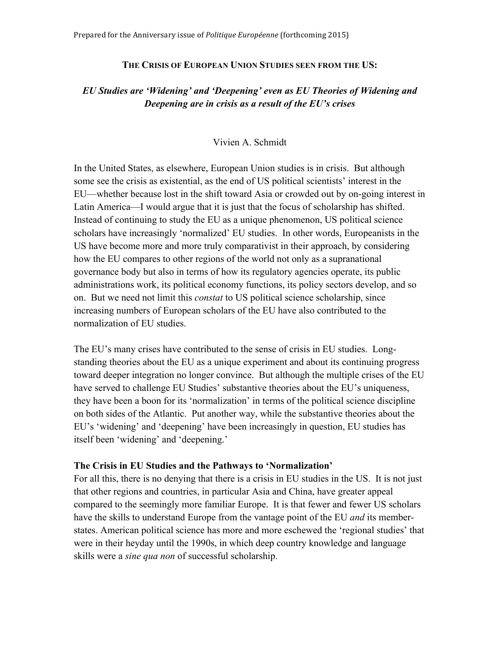### **THE CRISIS OF EUROPEAN UNION STUDIES SEEN FROM THE US:**

# *EU Studies are 'Widening' and 'Deepening' even as EU Theories of Widening and Deepening are in crisis as a result of the EU's crises*

## Vivien A. Schmidt

In the United States, as elsewhere, European Union studies is in crisis. But although some see the crisis as existential, as the end of US political scientists' interest in the EU—whether because lost in the shift toward Asia or crowded out by on-going interest in Latin America—I would argue that it is just that the focus of scholarship has shifted. Instead of continuing to study the EU as a unique phenomenon, US political science scholars have increasingly 'normalized' EU studies. In other words, Europeanists in the US have become more and more truly comparativist in their approach, by considering how the EU compares to other regions of the world not only as a supranational governance body but also in terms of how its regulatory agencies operate, its public administrations work, its political economy functions, its policy sectors develop, and so on. But we need not limit this *constat* to US political science scholarship, since increasing numbers of European scholars of the EU have also contributed to the normalization of EU studies.

The EU's many crises have contributed to the sense of crisis in EU studies. Longstanding theories about the EU as a unique experiment and about its continuing progress toward deeper integration no longer convince. But although the multiple crises of the EU have served to challenge EU Studies' substantive theories about the EU's uniqueness, they have been a boon for its 'normalization' in terms of the political science discipline on both sides of the Atlantic. Put another way, while the substantive theories about the EU's 'widening' and 'deepening' have been increasingly in question, EU studies has itself been 'widening' and 'deepening.'

### **The Crisis in EU Studies and the Pathways to 'Normalization'**

For all this, there is no denying that there is a crisis in EU studies in the US. It is not just that other regions and countries, in particular Asia and China, have greater appeal compared to the seemingly more familiar Europe. It is that fewer and fewer US scholars have the skills to understand Europe from the vantage point of the EU *and* its memberstates. American political science has more and more eschewed the 'regional studies' that were in their heyday until the 1990s, in which deep country knowledge and language skills were a *sine qua non* of successful scholarship.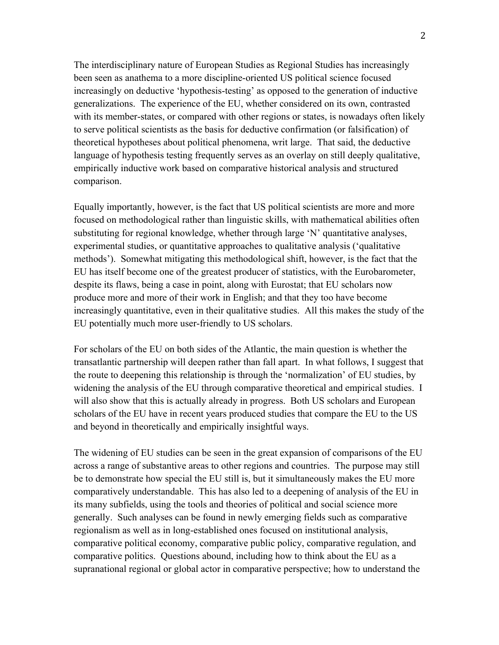The interdisciplinary nature of European Studies as Regional Studies has increasingly been seen as anathema to a more discipline-oriented US political science focused increasingly on deductive 'hypothesis-testing' as opposed to the generation of inductive generalizations. The experience of the EU, whether considered on its own, contrasted with its member-states, or compared with other regions or states, is nowadays often likely to serve political scientists as the basis for deductive confirmation (or falsification) of theoretical hypotheses about political phenomena, writ large. That said, the deductive language of hypothesis testing frequently serves as an overlay on still deeply qualitative, empirically inductive work based on comparative historical analysis and structured comparison.

Equally importantly, however, is the fact that US political scientists are more and more focused on methodological rather than linguistic skills, with mathematical abilities often substituting for regional knowledge, whether through large 'N' quantitative analyses, experimental studies, or quantitative approaches to qualitative analysis ('qualitative methods'). Somewhat mitigating this methodological shift, however, is the fact that the EU has itself become one of the greatest producer of statistics, with the Eurobarometer, despite its flaws, being a case in point, along with Eurostat; that EU scholars now produce more and more of their work in English; and that they too have become increasingly quantitative, even in their qualitative studies. All this makes the study of the EU potentially much more user-friendly to US scholars.

For scholars of the EU on both sides of the Atlantic, the main question is whether the transatlantic partnership will deepen rather than fall apart. In what follows, I suggest that the route to deepening this relationship is through the 'normalization' of EU studies, by widening the analysis of the EU through comparative theoretical and empirical studies. I will also show that this is actually already in progress. Both US scholars and European scholars of the EU have in recent years produced studies that compare the EU to the US and beyond in theoretically and empirically insightful ways.

The widening of EU studies can be seen in the great expansion of comparisons of the EU across a range of substantive areas to other regions and countries. The purpose may still be to demonstrate how special the EU still is, but it simultaneously makes the EU more comparatively understandable. This has also led to a deepening of analysis of the EU in its many subfields, using the tools and theories of political and social science more generally. Such analyses can be found in newly emerging fields such as comparative regionalism as well as in long-established ones focused on institutional analysis, comparative political economy, comparative public policy, comparative regulation, and comparative politics. Questions abound, including how to think about the EU as a supranational regional or global actor in comparative perspective; how to understand the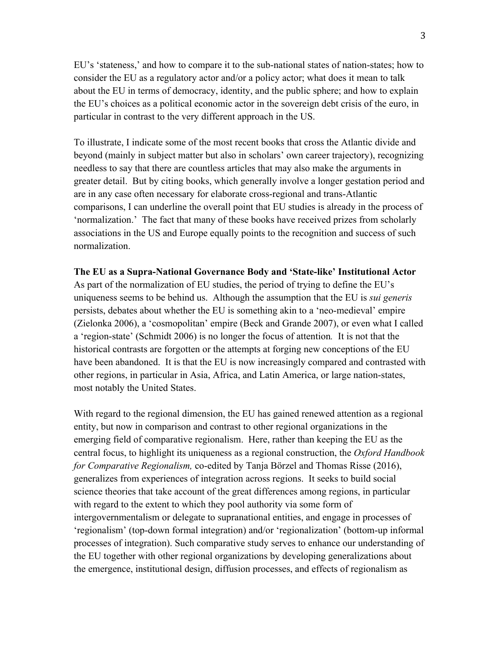EU's 'stateness,' and how to compare it to the sub-national states of nation-states; how to consider the EU as a regulatory actor and/or a policy actor; what does it mean to talk about the EU in terms of democracy, identity, and the public sphere; and how to explain the EU's choices as a political economic actor in the sovereign debt crisis of the euro, in particular in contrast to the very different approach in the US.

To illustrate, I indicate some of the most recent books that cross the Atlantic divide and beyond (mainly in subject matter but also in scholars' own career trajectory), recognizing needless to say that there are countless articles that may also make the arguments in greater detail. But by citing books, which generally involve a longer gestation period and are in any case often necessary for elaborate cross-regional and trans-Atlantic comparisons, I can underline the overall point that EU studies is already in the process of 'normalization.' The fact that many of these books have received prizes from scholarly associations in the US and Europe equally points to the recognition and success of such normalization.

**The EU as a Supra-National Governance Body and 'State-like' Institutional Actor** As part of the normalization of EU studies, the period of trying to define the EU's uniqueness seems to be behind us. Although the assumption that the EU is *sui generis* persists, debates about whether the EU is something akin to a 'neo-medieval' empire (Zielonka 2006), a 'cosmopolitan' empire (Beck and Grande 2007), or even what I called a 'region-state' (Schmidt 2006) is no longer the focus of attention*.* It is not that the historical contrasts are forgotten or the attempts at forging new conceptions of the EU have been abandoned. It is that the EU is now increasingly compared and contrasted with other regions, in particular in Asia, Africa, and Latin America, or large nation-states, most notably the United States.

With regard to the regional dimension, the EU has gained renewed attention as a regional entity, but now in comparison and contrast to other regional organizations in the emerging field of comparative regionalism. Here, rather than keeping the EU as the central focus, to highlight its uniqueness as a regional construction, the *Oxford Handbook for Comparative Regionalism,* co-edited by Tanja Börzel and Thomas Risse (2016), generalizes from experiences of integration across regions. It seeks to build social science theories that take account of the great differences among regions, in particular with regard to the extent to which they pool authority via some form of intergovernmentalism or delegate to supranational entities, and engage in processes of 'regionalism' (top-down formal integration) and/or 'regionalization' (bottom-up informal processes of integration). Such comparative study serves to enhance our understanding of the EU together with other regional organizations by developing generalizations about the emergence, institutional design, diffusion processes, and effects of regionalism as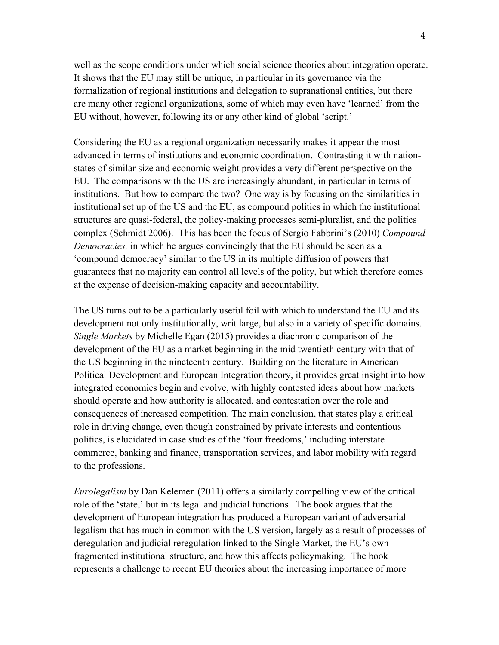well as the scope conditions under which social science theories about integration operate. It shows that the EU may still be unique, in particular in its governance via the formalization of regional institutions and delegation to supranational entities, but there are many other regional organizations, some of which may even have 'learned' from the EU without, however, following its or any other kind of global 'script.'

Considering the EU as a regional organization necessarily makes it appear the most advanced in terms of institutions and economic coordination. Contrasting it with nationstates of similar size and economic weight provides a very different perspective on the EU. The comparisons with the US are increasingly abundant, in particular in terms of institutions. But how to compare the two? One way is by focusing on the similarities in institutional set up of the US and the EU, as compound polities in which the institutional structures are quasi-federal, the policy-making processes semi-pluralist, and the politics complex (Schmidt 2006). This has been the focus of Sergio Fabbrini's (2010) *Compound Democracies,* in which he argues convincingly that the EU should be seen as a 'compound democracy' similar to the US in its multiple diffusion of powers that guarantees that no majority can control all levels of the polity, but which therefore comes at the expense of decision-making capacity and accountability.

The US turns out to be a particularly useful foil with which to understand the EU and its development not only institutionally, writ large, but also in a variety of specific domains. *Single Markets* by Michelle Egan (2015) provides a diachronic comparison of the development of the EU as a market beginning in the mid twentieth century with that of the US beginning in the nineteenth century. Building on the literature in American Political Development and European Integration theory, it provides great insight into how integrated economies begin and evolve, with highly contested ideas about how markets should operate and how authority is allocated, and contestation over the role and consequences of increased competition. The main conclusion, that states play a critical role in driving change, even though constrained by private interests and contentious politics, is elucidated in case studies of the 'four freedoms,' including interstate commerce, banking and finance, transportation services, and labor mobility with regard to the professions.

*Eurolegalism* by Dan Kelemen (2011) offers a similarly compelling view of the critical role of the 'state,' but in its legal and judicial functions. The book argues that the development of European integration has produced a European variant of adversarial legalism that has much in common with the US version, largely as a result of processes of deregulation and judicial reregulation linked to the Single Market, the EU's own fragmented institutional structure, and how this affects policymaking. The book represents a challenge to recent EU theories about the increasing importance of more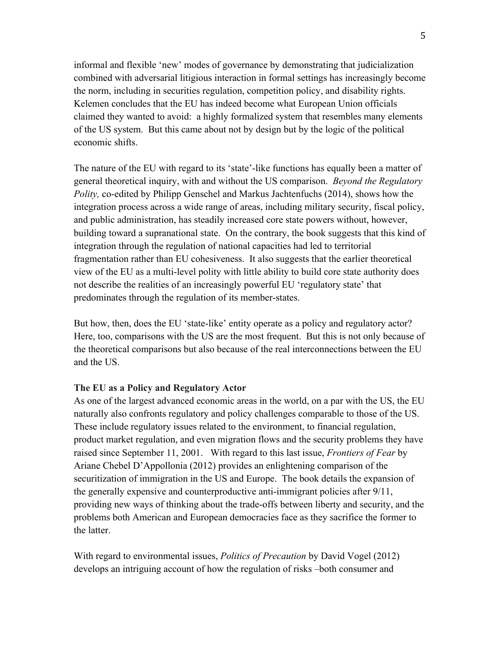informal and flexible 'new' modes of governance by demonstrating that judicialization combined with adversarial litigious interaction in formal settings has increasingly become the norm, including in securities regulation, competition policy, and disability rights. Kelemen concludes that the EU has indeed become what European Union officials claimed they wanted to avoid: a highly formalized system that resembles many elements of the US system. But this came about not by design but by the logic of the political economic shifts.

The nature of the EU with regard to its 'state'-like functions has equally been a matter of general theoretical inquiry, with and without the US comparison. *Beyond the Regulatory Polity,* co-edited by Philipp Genschel and Markus Jachtenfuchs (2014), shows how the integration process across a wide range of areas, including military security, fiscal policy, and public administration, has steadily increased core state powers without, however, building toward a supranational state. On the contrary, the book suggests that this kind of integration through the regulation of national capacities had led to territorial fragmentation rather than EU cohesiveness. It also suggests that the earlier theoretical view of the EU as a multi-level polity with little ability to build core state authority does not describe the realities of an increasingly powerful EU 'regulatory state' that predominates through the regulation of its member-states.

But how, then, does the EU 'state-like' entity operate as a policy and regulatory actor? Here, too, comparisons with the US are the most frequent. But this is not only because of the theoretical comparisons but also because of the real interconnections between the EU and the US.

### **The EU as a Policy and Regulatory Actor**

As one of the largest advanced economic areas in the world, on a par with the US, the EU naturally also confronts regulatory and policy challenges comparable to those of the US. These include regulatory issues related to the environment, to financial regulation, product market regulation, and even migration flows and the security problems they have raised since September 11, 2001. With regard to this last issue, *Frontiers of Fear* by Ariane Chebel D'Appollonia (2012) provides an enlightening comparison of the securitization of immigration in the US and Europe. The book details the expansion of the generally expensive and counterproductive anti-immigrant policies after 9/11, providing new ways of thinking about the trade-offs between liberty and security, and the problems both American and European democracies face as they sacrifice the former to the latter.

With regard to environmental issues, *Politics of Precaution* by David Vogel (2012) develops an intriguing account of how the regulation of risks –both consumer and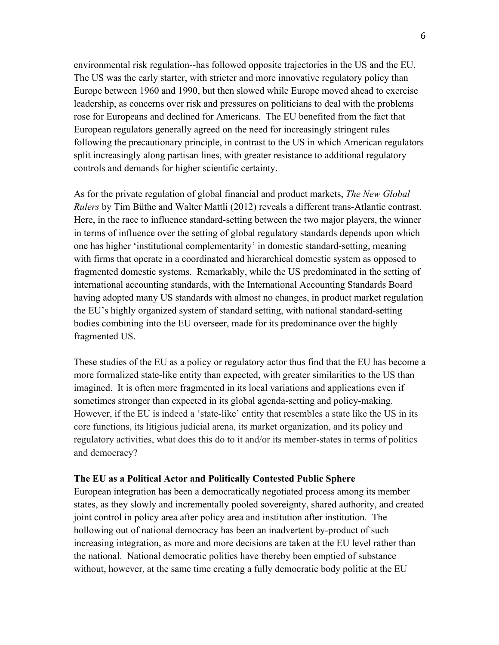environmental risk regulation--has followed opposite trajectories in the US and the EU. The US was the early starter, with stricter and more innovative regulatory policy than Europe between 1960 and 1990, but then slowed while Europe moved ahead to exercise leadership, as concerns over risk and pressures on politicians to deal with the problems rose for Europeans and declined for Americans. The EU benefited from the fact that European regulators generally agreed on the need for increasingly stringent rules following the precautionary principle, in contrast to the US in which American regulators split increasingly along partisan lines, with greater resistance to additional regulatory controls and demands for higher scientific certainty.

As for the private regulation of global financial and product markets, *The New Global Rulers* by Tim Büthe and Walter Mattli (2012) reveals a different trans-Atlantic contrast. Here, in the race to influence standard-setting between the two major players, the winner in terms of influence over the setting of global regulatory standards depends upon which one has higher 'institutional complementarity' in domestic standard-setting, meaning with firms that operate in a coordinated and hierarchical domestic system as opposed to fragmented domestic systems. Remarkably, while the US predominated in the setting of international accounting standards, with the International Accounting Standards Board having adopted many US standards with almost no changes, in product market regulation the EU's highly organized system of standard setting, with national standard-setting bodies combining into the EU overseer, made for its predominance over the highly fragmented US.

These studies of the EU as a policy or regulatory actor thus find that the EU has become a more formalized state-like entity than expected, with greater similarities to the US than imagined. It is often more fragmented in its local variations and applications even if sometimes stronger than expected in its global agenda-setting and policy-making. However, if the EU is indeed a 'state-like' entity that resembles a state like the US in its core functions, its litigious judicial arena, its market organization, and its policy and regulatory activities, what does this do to it and/or its member-states in terms of politics and democracy?

### **The EU as a Political Actor and Politically Contested Public Sphere**

European integration has been a democratically negotiated process among its member states, as they slowly and incrementally pooled sovereignty, shared authority, and created joint control in policy area after policy area and institution after institution. The hollowing out of national democracy has been an inadvertent by-product of such increasing integration, as more and more decisions are taken at the EU level rather than the national. National democratic politics have thereby been emptied of substance without, however, at the same time creating a fully democratic body politic at the EU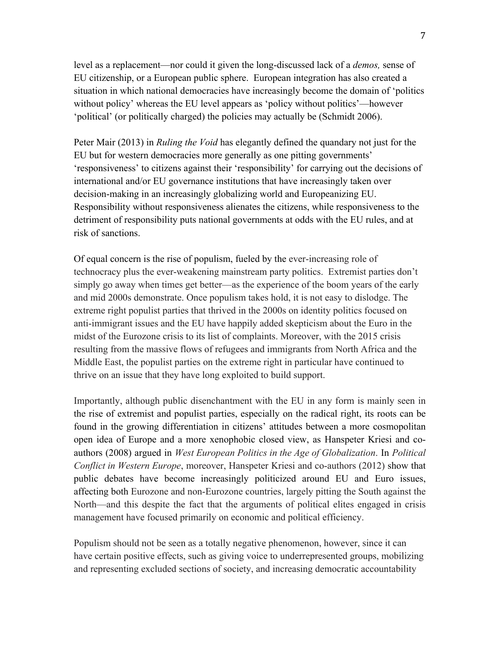level as a replacement—nor could it given the long-discussed lack of a *demos,* sense of EU citizenship, or a European public sphere. European integration has also created a situation in which national democracies have increasingly become the domain of 'politics without policy' whereas the EU level appears as 'policy without politics'—however 'political' (or politically charged) the policies may actually be (Schmidt 2006).

Peter Mair (2013) in *Ruling the Void* has elegantly defined the quandary not just for the EU but for western democracies more generally as one pitting governments' 'responsiveness' to citizens against their 'responsibility' for carrying out the decisions of international and/or EU governance institutions that have increasingly taken over decision-making in an increasingly globalizing world and Europeanizing EU. Responsibility without responsiveness alienates the citizens, while responsiveness to the detriment of responsibility puts national governments at odds with the EU rules, and at risk of sanctions.

Of equal concern is the rise of populism, fueled by the ever-increasing role of technocracy plus the ever-weakening mainstream party politics. Extremist parties don't simply go away when times get better—as the experience of the boom years of the early and mid 2000s demonstrate. Once populism takes hold, it is not easy to dislodge. The extreme right populist parties that thrived in the 2000s on identity politics focused on anti-immigrant issues and the EU have happily added skepticism about the Euro in the midst of the Eurozone crisis to its list of complaints. Moreover, with the 2015 crisis resulting from the massive flows of refugees and immigrants from North Africa and the Middle East, the populist parties on the extreme right in particular have continued to thrive on an issue that they have long exploited to build support.

Importantly, although public disenchantment with the EU in any form is mainly seen in the rise of extremist and populist parties, especially on the radical right, its roots can be found in the growing differentiation in citizens' attitudes between a more cosmopolitan open idea of Europe and a more xenophobic closed view, as Hanspeter Kriesi and coauthors (2008) argued in *West European Politics in the Age of Globalization*. In *Political Conflict in Western Europe*, moreover, Hanspeter Kriesi and co-authors (2012) show that public debates have become increasingly politicized around EU and Euro issues, affecting both Eurozone and non-Eurozone countries, largely pitting the South against the North—and this despite the fact that the arguments of political elites engaged in crisis management have focused primarily on economic and political efficiency.

Populism should not be seen as a totally negative phenomenon, however, since it can have certain positive effects, such as giving voice to underrepresented groups, mobilizing and representing excluded sections of society, and increasing democratic accountability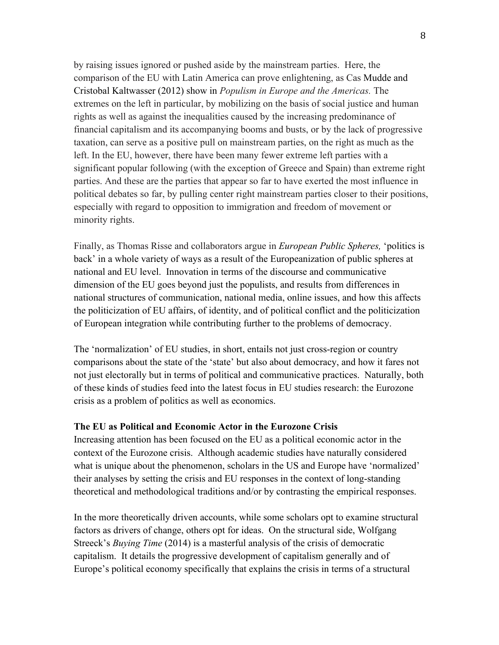by raising issues ignored or pushed aside by the mainstream parties. Here, the comparison of the EU with Latin America can prove enlightening, as Cas Mudde and Cristobal Kaltwasser (2012) show in *Populism in Europe and the Americas.* The extremes on the left in particular, by mobilizing on the basis of social justice and human rights as well as against the inequalities caused by the increasing predominance of financial capitalism and its accompanying booms and busts, or by the lack of progressive taxation, can serve as a positive pull on mainstream parties, on the right as much as the left. In the EU, however, there have been many fewer extreme left parties with a significant popular following (with the exception of Greece and Spain) than extreme right parties. And these are the parties that appear so far to have exerted the most influence in political debates so far, by pulling center right mainstream parties closer to their positions, especially with regard to opposition to immigration and freedom of movement or minority rights.

Finally, as Thomas Risse and collaborators argue in *European Public Spheres,* 'politics is back' in a whole variety of ways as a result of the Europeanization of public spheres at national and EU level. Innovation in terms of the discourse and communicative dimension of the EU goes beyond just the populists, and results from differences in national structures of communication, national media, online issues, and how this affects the politicization of EU affairs, of identity, and of political conflict and the politicization of European integration while contributing further to the problems of democracy.

The 'normalization' of EU studies, in short, entails not just cross-region or country comparisons about the state of the 'state' but also about democracy, and how it fares not not just electorally but in terms of political and communicative practices. Naturally, both of these kinds of studies feed into the latest focus in EU studies research: the Eurozone crisis as a problem of politics as well as economics.

### **The EU as Political and Economic Actor in the Eurozone Crisis**

Increasing attention has been focused on the EU as a political economic actor in the context of the Eurozone crisis. Although academic studies have naturally considered what is unique about the phenomenon, scholars in the US and Europe have 'normalized' their analyses by setting the crisis and EU responses in the context of long-standing theoretical and methodological traditions and/or by contrasting the empirical responses.

In the more theoretically driven accounts, while some scholars opt to examine structural factors as drivers of change, others opt for ideas. On the structural side, Wolfgang Streeck's *Buying Time* (2014) is a masterful analysis of the crisis of democratic capitalism. It details the progressive development of capitalism generally and of Europe's political economy specifically that explains the crisis in terms of a structural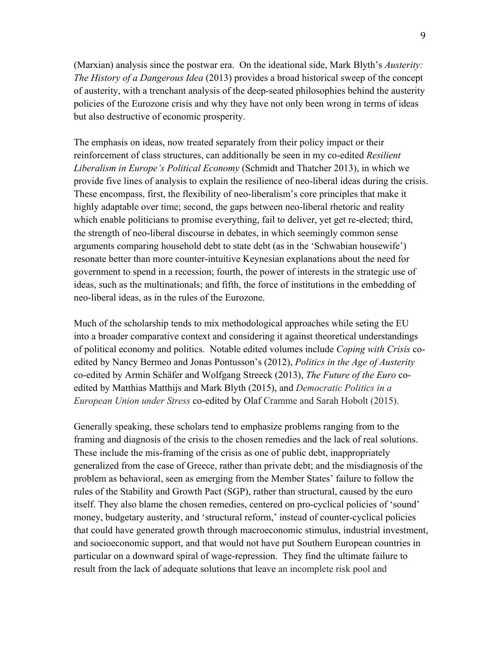(Marxian) analysis since the postwar era. On the ideational side, Mark Blyth's *Austerity: The History of a Dangerous Idea* (2013) provides a broad historical sweep of the concept of austerity, with a trenchant analysis of the deep-seated philosophies behind the austerity policies of the Eurozone crisis and why they have not only been wrong in terms of ideas but also destructive of economic prosperity.

The emphasis on ideas, now treated separately from their policy impact or their reinforcement of class structures, can additionally be seen in my co-edited *Resilient Liberalism in Europe's Political Economy* (Schmidt and Thatcher 2013), in which we provide five lines of analysis to explain the resilience of neo-liberal ideas during the crisis. These encompass, first, the flexibility of neo-liberalism's core principles that make it highly adaptable over time; second, the gaps between neo-liberal rhetoric and reality which enable politicians to promise everything, fail to deliver, yet get re-elected; third, the strength of neo-liberal discourse in debates, in which seemingly common sense arguments comparing household debt to state debt (as in the 'Schwabian housewife') resonate better than more counter-intuitive Keynesian explanations about the need for government to spend in a recession; fourth, the power of interests in the strategic use of ideas, such as the multinationals; and fifth, the force of institutions in the embedding of neo-liberal ideas, as in the rules of the Eurozone.

Much of the scholarship tends to mix methodological approaches while seting the EU into a broader comparative context and considering it against theoretical understandings of political economy and politics. Notable edited volumes include *Coping with Crisis* coedited by Nancy Bermeo and Jonas Pontusson's (2012), *Politics in the Age of Austerity* co-edited by Armin Schäfer and Wolfgang Streeck (2013), *The Future of the Euro* coedited by Matthias Matthijs and Mark Blyth (2015), and *Democratic Politics in a European Union under Stress* co-edited by Olaf Cramme and Sarah Hobolt (2015).

Generally speaking, these scholars tend to emphasize problems ranging from to the framing and diagnosis of the crisis to the chosen remedies and the lack of real solutions. These include the mis-framing of the crisis as one of public debt, inappropriately generalized from the case of Greece, rather than private debt; and the misdiagnosis of the problem as behavioral, seen as emerging from the Member States' failure to follow the rules of the Stability and Growth Pact (SGP), rather than structural, caused by the euro itself. They also blame the chosen remedies, centered on pro-cyclical policies of 'sound' money, budgetary austerity, and 'structural reform,' instead of counter-cyclical policies that could have generated growth through macroeconomic stimulus, industrial investment, and socioeconomic support, and that would not have put Southern European countries in particular on a downward spiral of wage-repression. They find the ultimate failure to result from the lack of adequate solutions that leave an incomplete risk pool and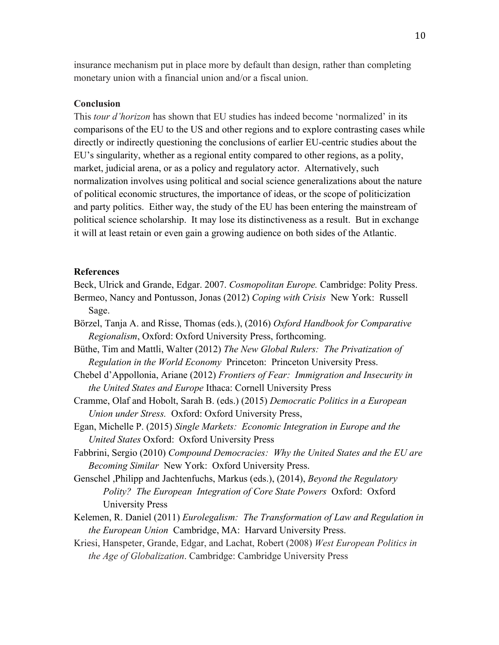insurance mechanism put in place more by default than design, rather than completing monetary union with a financial union and/or a fiscal union.

### **Conclusion**

This *tour d'horizon* has shown that EU studies has indeed become 'normalized' in its comparisons of the EU to the US and other regions and to explore contrasting cases while directly or indirectly questioning the conclusions of earlier EU-centric studies about the EU's singularity, whether as a regional entity compared to other regions, as a polity, market, judicial arena, or as a policy and regulatory actor. Alternatively, such normalization involves using political and social science generalizations about the nature of political economic structures, the importance of ideas, or the scope of politicization and party politics. Either way, the study of the EU has been entering the mainstream of political science scholarship. It may lose its distinctiveness as a result. But in exchange it will at least retain or even gain a growing audience on both sides of the Atlantic.

#### **References**

Beck, Ulrick and Grande, Edgar. 2007. *Cosmopolitan Europe.* Cambridge: Polity Press.

- Bermeo, Nancy and Pontusson, Jonas (2012) *Coping with Crisis* New York: Russell Sage.
- Börzel, Tanja A. and Risse, Thomas (eds.), (2016) *Oxford Handbook for Comparative Regionalism*, Oxford: Oxford University Press, forthcoming.
- Büthe, Tim and Mattli, Walter (2012) *The New Global Rulers: The Privatization of Regulation in the World Economy* Princeton: Princeton University Press.
- Chebel d'Appollonia, Ariane (2012) *Frontiers of Fear: Immigration and Insecurity in the United States and Europe* Ithaca: Cornell University Press
- Cramme, Olaf and Hobolt, Sarah B. (eds.) (2015) *Democratic Politics in a European Union under Stress.* Oxford: Oxford University Press,
- Egan, Michelle P. (2015) *Single Markets: Economic Integration in Europe and the United States* Oxford: Oxford University Press
- Fabbrini, Sergio (2010) *Compound Democracies: Why the United States and the EU are Becoming Similar* New York: Oxford University Press.
- Genschel ,Philipp and Jachtenfuchs, Markus (eds.), (2014), *Beyond the Regulatory Polity? The European Integration of Core State Powers* Oxford: Oxford University Press
- Kelemen, R. Daniel (2011) *Eurolegalism: The Transformation of Law and Regulation in the European Union* Cambridge, MA: Harvard University Press.
- Kriesi, Hanspeter, Grande, Edgar, and Lachat, Robert (2008) *West European Politics in the Age of Globalization*. Cambridge: Cambridge University Press